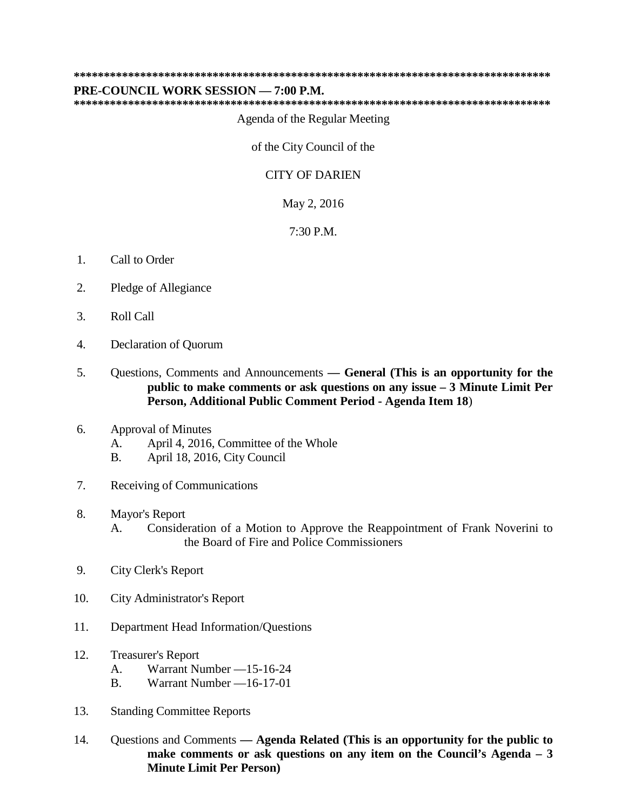**\*\*\*\*\*\*\*\*\*\*\*\*\*\*\*\*\*\*\*\*\*\*\*\*\*\*\*\*\*\*\*\*\*\*\*\*\*\*\*\*\*\*\*\*\*\*\*\*\*\*\*\*\*\*\*\*\*\*\*\*\*\*\*\*\*\*\*\*\*\*\*\*\*\*\*\*\*\*\***

## **PRE-COUNCIL WORK SESSION — 7:00 P.M.**

**\*\*\*\*\*\*\*\*\*\*\*\*\*\*\*\*\*\*\*\*\*\*\*\*\*\*\*\*\*\*\*\*\*\*\*\*\*\*\*\*\*\*\*\*\*\*\*\*\*\*\*\*\*\*\*\*\*\*\*\*\*\*\*\*\*\*\*\*\*\*\*\*\*\*\*\*\*\*\***

Agenda of the Regular Meeting

of the City Council of the

## CITY OF DARIEN

May 2, 2016

7:30 P.M.

- 1. Call to Order
- 2. Pledge of Allegiance
- 3. Roll Call
- 4. Declaration of Quorum
- 5. Questions, Comments and Announcements **— General (This is an opportunity for the public to make comments or ask questions on any issue – 3 Minute Limit Per Person, Additional Public Comment Period - Agenda Item 18**)

## 6. Approval of Minutes

- A. April 4, 2016, Committee of the Whole
- B. April 18, 2016, City Council
- 7. Receiving of Communications
- 8. Mayor's Report
	- A. Consideration of a Motion to Approve the Reappointment of Frank Noverini to the Board of Fire and Police Commissioners
- 9. City Clerk's Report
- 10. City Administrator's Report
- 11. Department Head Information/Questions
- 12. Treasurer's Report
	- A. Warrant Number —15-16-24
	- B. Warrant Number —16-17-01
- 13. Standing Committee Reports
- 14. Questions and Comments **— Agenda Related (This is an opportunity for the public to make comments or ask questions on any item on the Council's Agenda – 3 Minute Limit Per Person)**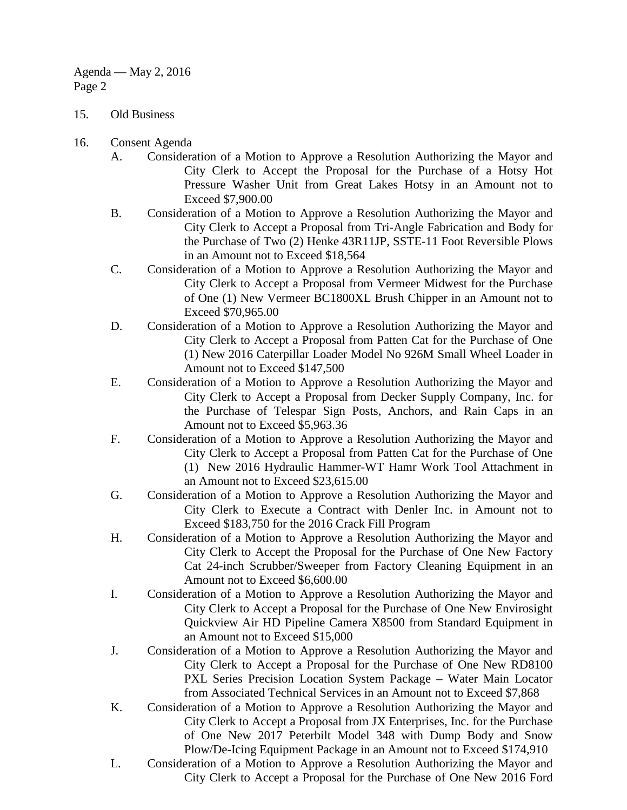- 15. Old Business
- 16. Consent Agenda
	- A. Consideration of a Motion to Approve a Resolution Authorizing the Mayor and City Clerk to Accept the Proposal for the Purchase of a Hotsy Hot Pressure Washer Unit from Great Lakes Hotsy in an Amount not to Exceed \$7,900.00
	- B. Consideration of a Motion to Approve a Resolution Authorizing the Mayor and City Clerk to Accept a Proposal from Tri-Angle Fabrication and Body for the Purchase of Two (2) Henke 43R11JP, SSTE-11 Foot Reversible Plows in an Amount not to Exceed \$18,564
	- C. Consideration of a Motion to Approve a Resolution Authorizing the Mayor and City Clerk to Accept a Proposal from Vermeer Midwest for the Purchase of One (1) New Vermeer BC1800XL Brush Chipper in an Amount not to Exceed \$70,965.00
	- D. Consideration of a Motion to Approve a Resolution Authorizing the Mayor and City Clerk to Accept a Proposal from Patten Cat for the Purchase of One (1) New 2016 Caterpillar Loader Model No 926M Small Wheel Loader in Amount not to Exceed \$147,500
	- E. Consideration of a Motion to Approve a Resolution Authorizing the Mayor and City Clerk to Accept a Proposal from Decker Supply Company, Inc. for the Purchase of Telespar Sign Posts, Anchors, and Rain Caps in an Amount not to Exceed \$5,963.36
	- F. Consideration of a Motion to Approve a Resolution Authorizing the Mayor and City Clerk to Accept a Proposal from Patten Cat for the Purchase of One (1) New 2016 Hydraulic Hammer-WT Hamr Work Tool Attachment in an Amount not to Exceed \$23,615.00
	- G. Consideration of a Motion to Approve a Resolution Authorizing the Mayor and City Clerk to Execute a Contract with Denler Inc. in Amount not to Exceed \$183,750 for the 2016 Crack Fill Program
	- H. Consideration of a Motion to Approve a Resolution Authorizing the Mayor and City Clerk to Accept the Proposal for the Purchase of One New Factory Cat 24-inch Scrubber/Sweeper from Factory Cleaning Equipment in an Amount not to Exceed \$6,600.00
	- I. Consideration of a Motion to Approve a Resolution Authorizing the Mayor and City Clerk to Accept a Proposal for the Purchase of One New Envirosight Quickview Air HD Pipeline Camera X8500 from Standard Equipment in an Amount not to Exceed \$15,000
	- J. Consideration of a Motion to Approve a Resolution Authorizing the Mayor and City Clerk to Accept a Proposal for the Purchase of One New RD8100 PXL Series Precision Location System Package – Water Main Locator from Associated Technical Services in an Amount not to Exceed \$7,868
	- K. Consideration of a Motion to Approve a Resolution Authorizing the Mayor and City Clerk to Accept a Proposal from JX Enterprises, Inc. for the Purchase of One New 2017 Peterbilt Model 348 with Dump Body and Snow Plow/De-Icing Equipment Package in an Amount not to Exceed \$174,910
	- L. Consideration of a Motion to Approve a Resolution Authorizing the Mayor and City Clerk to Accept a Proposal for the Purchase of One New 2016 Ford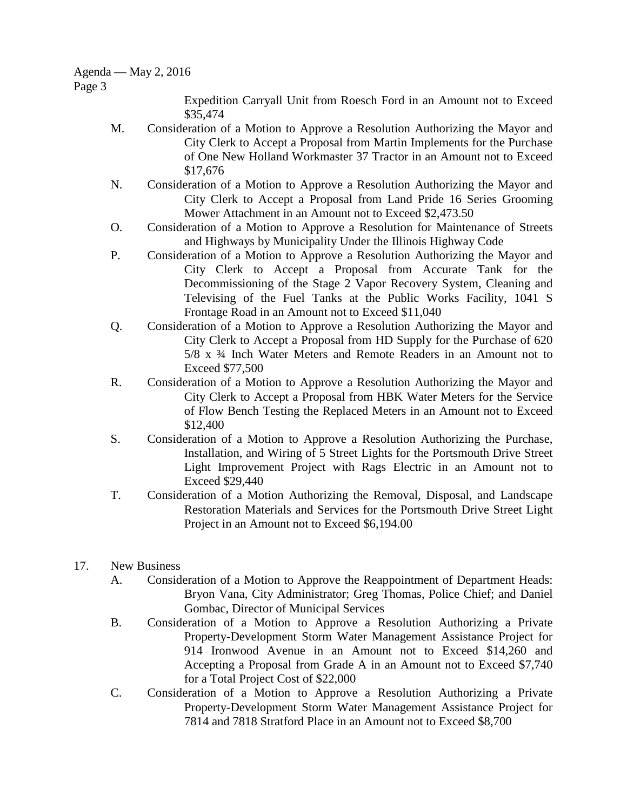## Agenda — May 2, 2016

Page 3

Expedition Carryall Unit from Roesch Ford in an Amount not to Exceed \$35,474

- M. Consideration of a Motion to Approve a Resolution Authorizing the Mayor and City Clerk to Accept a Proposal from Martin Implements for the Purchase of One New Holland Workmaster 37 Tractor in an Amount not to Exceed \$17,676
- N. Consideration of a Motion to Approve a Resolution Authorizing the Mayor and City Clerk to Accept a Proposal from Land Pride 16 Series Grooming Mower Attachment in an Amount not to Exceed \$2,473.50
- O. Consideration of a Motion to Approve a Resolution for Maintenance of Streets and Highways by Municipality Under the Illinois Highway Code
- P. Consideration of a Motion to Approve a Resolution Authorizing the Mayor and City Clerk to Accept a Proposal from Accurate Tank for the Decommissioning of the Stage 2 Vapor Recovery System, Cleaning and Televising of the Fuel Tanks at the Public Works Facility, 1041 S Frontage Road in an Amount not to Exceed \$11,040
- Q. Consideration of a Motion to Approve a Resolution Authorizing the Mayor and City Clerk to Accept a Proposal from HD Supply for the Purchase of 620 5/8 x ¾ Inch Water Meters and Remote Readers in an Amount not to Exceed \$77,500
- R. Consideration of a Motion to Approve a Resolution Authorizing the Mayor and City Clerk to Accept a Proposal from HBK Water Meters for the Service of Flow Bench Testing the Replaced Meters in an Amount not to Exceed \$12,400
- S. Consideration of a Motion to Approve a Resolution Authorizing the Purchase, Installation, and Wiring of 5 Street Lights for the Portsmouth Drive Street Light Improvement Project with Rags Electric in an Amount not to Exceed \$29,440
- T. Consideration of a Motion Authorizing the Removal, Disposal, and Landscape Restoration Materials and Services for the Portsmouth Drive Street Light Project in an Amount not to Exceed \$6,194.00
- 17. New Business
	- A. Consideration of a Motion to Approve the Reappointment of Department Heads: Bryon Vana, City Administrator; Greg Thomas, Police Chief; and Daniel Gombac, Director of Municipal Services
	- B. Consideration of a Motion to Approve a Resolution Authorizing a Private Property-Development Storm Water Management Assistance Project for 914 Ironwood Avenue in an Amount not to Exceed \$14,260 and Accepting a Proposal from Grade A in an Amount not to Exceed \$7,740 for a Total Project Cost of \$22,000
	- C. Consideration of a Motion to Approve a Resolution Authorizing a Private Property-Development Storm Water Management Assistance Project for 7814 and 7818 Stratford Place in an Amount not to Exceed \$8,700